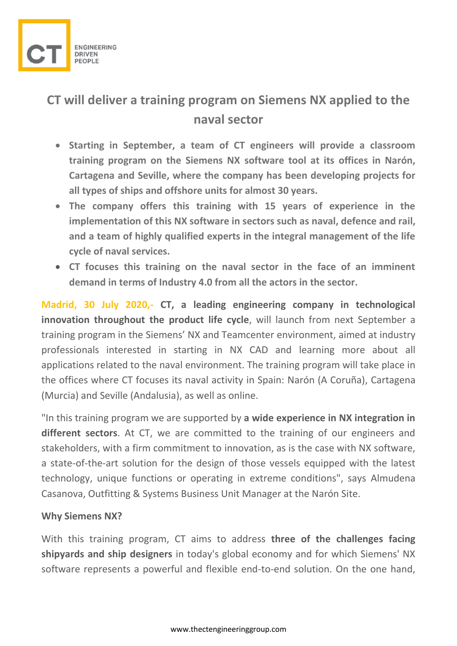

**CT will deliver a training program on Siemens NX applied to the naval sector**

- **Starting in September, a team of CT engineers will provide a classroom training program on the Siemens NX software tool at its offices in Narón, Cartagena and Seville, where the company has been developing projects for all types of ships and offshore units for almost 30 years.**
- **The company offers this training with 15 years of experience in the implementation of this NX software in sectors such as naval, defence and rail, and a team of highly qualified experts in the integral management of the life cycle of naval services.**
- **CT focuses this training on the naval sector in the face of an imminent demand in terms of Industry 4.0 from all the actors in the sector.**

**Madrid, 30 July 2020,- CT, a leading engineering company in technological innovation throughout the product life cycle**, will launch from next September a training program in the Siemens' NX and Teamcenter environment, aimed at industry professionals interested in starting in NX CAD and learning more about all applications related to the naval environment. The training program will take place in the offices where CT focuses its naval activity in Spain: Narón (A Coruña), Cartagena (Murcia) and Seville (Andalusia), as well as online.

"In this training program we are supported by **a wide experience in NX integration in different sectors**. At CT, we are committed to the training of our engineers and stakeholders, with a firm commitment to innovation, as is the case with NX software, a state-of-the-art solution for the design of those vessels equipped with the latest technology, unique functions or operating in extreme conditions", says Almudena Casanova, Outfitting & Systems Business Unit Manager at the Narón Site.

## **Why Siemens NX?**

With this training program, CT aims to address **three of the challenges facing shipyards and ship designers** in today's global economy and for which Siemens' NX software represents a powerful and flexible end-to-end solution. On the one hand,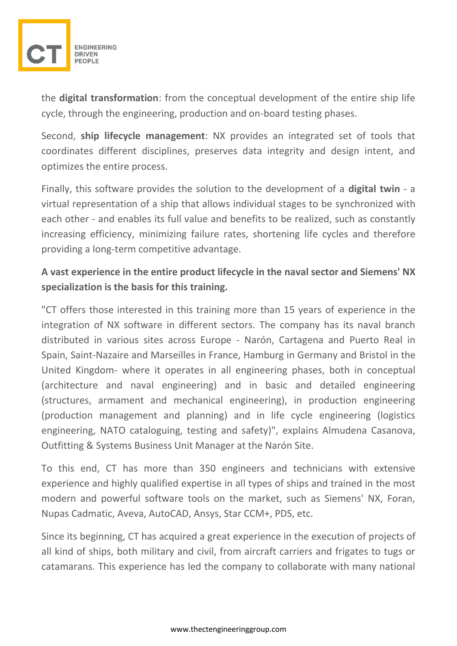

the **digital transformation**: from the conceptual development of the entire ship life cycle, through the engineering, production and on-board testing phases.

Second, **ship lifecycle management**: NX provides an integrated set of tools that coordinates different disciplines, preserves data integrity and design intent, and optimizes the entire process.

Finally, this software provides the solution to the development of a **digital twin** - a virtual representation of a ship that allows individual stages to be synchronized with each other - and enables its full value and benefits to be realized, such as constantly increasing efficiency, minimizing failure rates, shortening life cycles and therefore providing a long-term competitive advantage.

## **A vast experience in the entire product lifecycle in the naval sector and Siemens' NX specialization is the basis for this training.**

"CT offers those interested in this training more than 15 years of experience in the integration of NX software in different sectors. The company has its naval branch distributed in various sites across Europe - Narón, Cartagena and Puerto Real in Spain, Saint-Nazaire and Marseilles in France, Hamburg in Germany and Bristol in the United Kingdom- where it operates in all engineering phases, both in conceptual (architecture and naval engineering) and in basic and detailed engineering (structures, armament and mechanical engineering), in production engineering (production management and planning) and in life cycle engineering (logistics engineering, NATO cataloguing, testing and safety)", explains Almudena Casanova, Outfitting & Systems Business Unit Manager at the Narón Site.

To this end, CT has more than 350 engineers and technicians with extensive experience and highly qualified expertise in all types of ships and trained in the most modern and powerful software tools on the market, such as Siemens' NX, Foran, Nupas Cadmatic, Aveva, AutoCAD, Ansys, Star CCM+, PDS, etc.

Since its beginning, CT has acquired a great experience in the execution of projects of all kind of ships, both military and civil, from aircraft carriers and frigates to tugs or catamarans. This experience has led the company to collaborate with many national